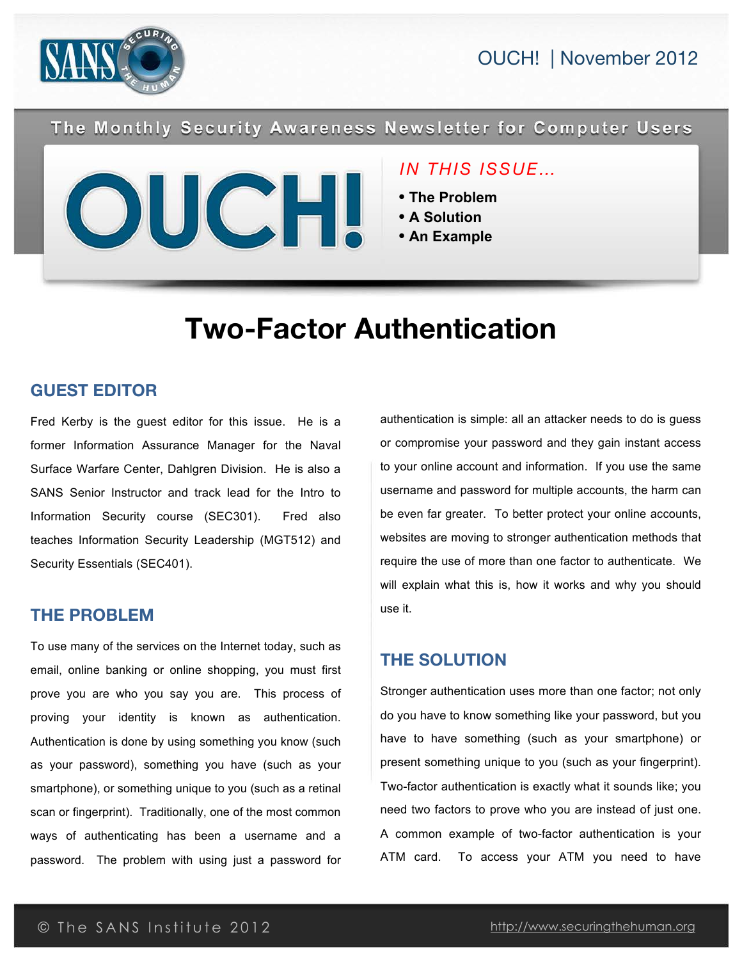



The Monthly Security Awareness Newsletter for Computer Users



# *IN THIS ISSUE…*

- **The Problem**
- **A Solution**
- **An Example**

# **Two-Factor Authentication**

## **GUEST EDITOR**

Fred Kerby is the guest editor for this issue. He is a former Information Assurance Manager for the Naval Surface Warfare Center, Dahlgren Division. He is also a SANS Senior Instructor and track lead for the Intro to Information Security course (SEC301). Fred also teaches Information Security Leadership (MGT512) and Security Essentials (SEC401).

## **THE PROBLEM**

To use many of the services on the Internet today, such as email, online banking or online shopping, you must first prove you are who you say you are. This process of proving your identity is known as authentication. Authentication is done by using something you know (such as your password), something you have (such as your smartphone), or something unique to you (such as a retinal scan or fingerprint). Traditionally, one of the most common ways of authenticating has been a username and a password. The problem with using just a password for

authentication is simple: all an attacker needs to do is guess or compromise your password and they gain instant access to your online account and information. If you use the same username and password for multiple accounts, the harm can be even far greater. To better protect your online accounts, websites are moving to stronger authentication methods that require the use of more than one factor to authenticate. We will explain what this is, how it works and why you should use it.

# **THE SOLUTION**

Stronger authentication uses more than one factor; not only do you have to know something like your password, but you have to have something (such as your smartphone) or present something unique to you (such as your fingerprint). Two-factor authentication is exactly what it sounds like; you need two factors to prove who you are instead of just one. A common example of two-factor authentication is your ATM card. To access your ATM you need to have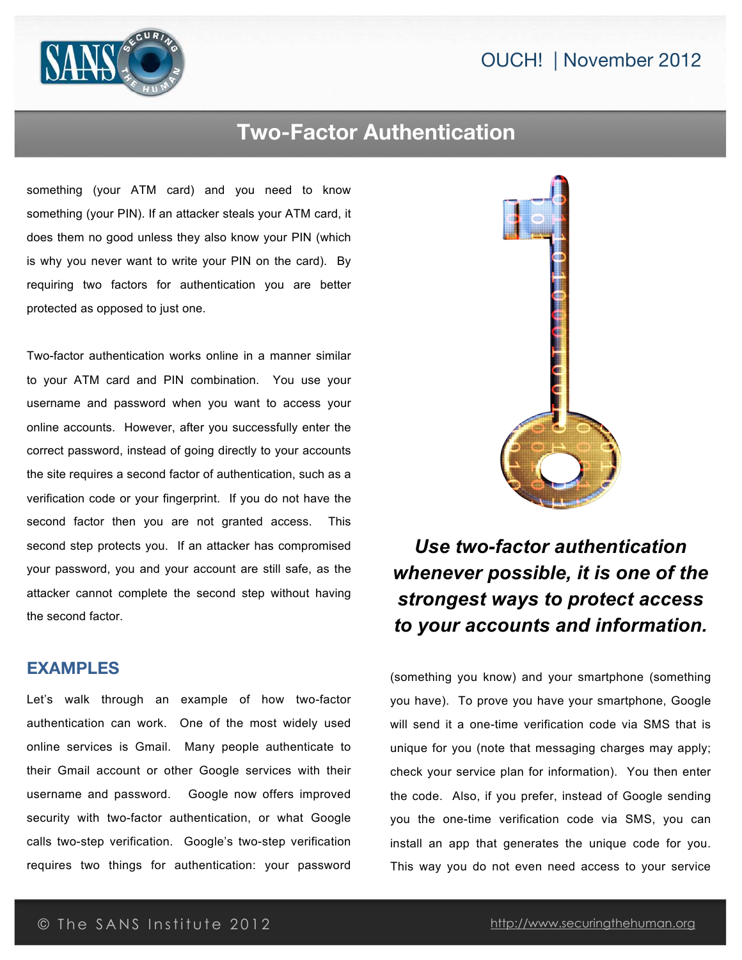# OUCH! | November 2012



# **Two-Factor Authentication**

something (your ATM card) and you need to know something (your PIN). If an attacker steals your ATM card, it does them no good unless they also know your PIN (which is why you never want to write your PIN on the card). By requiring two factors for authentication you are better protected as opposed to just one.

Two-factor authentication works online in a manner similar to your ATM card and PIN combination. You use your username and password when you want to access your online accounts. However, after you successfully enter the correct password, instead of going directly to your accounts the site requires a second factor of authentication, such as a verification code or your fingerprint. If you do not have the second factor then you are not granted access. This second step protects you. If an attacker has compromised your password, you and your account are still safe, as the attacker cannot complete the second step without having the second factor.

#### **EXAMPLES**

Let's walk through an example of how two-factor authentication can work. One of the most widely used online services is Gmail. Many people authenticate to their Gmail account or other Google services with their username and password. Google now offers improved security with two-factor authentication, or what Google calls two-step verification. Google's two-step verification requires two things for authentication: your password



*Use two-factor authentication whenever possible, it is one of the strongest ways to protect access to your accounts and information.*

(something you know) and your smartphone (something you have). To prove you have your smartphone, Google will send it a one-time verification code via SMS that is unique for you (note that messaging charges may apply; check your service plan for information). You then enter the code. Also, if you prefer, instead of Google sending you the one-time verification code via SMS, you can install an app that generates the unique code for you. This way you do not even need access to your service